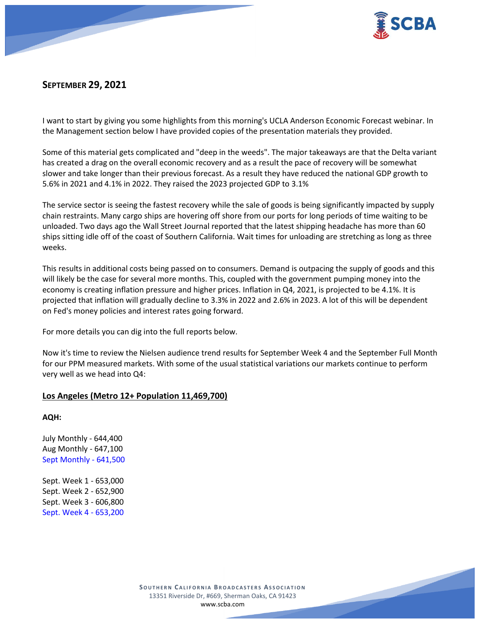

# **SEPTEMBER 29, 2021**

I want to start by giving you some highlights from this morning's UCLA Anderson Economic Forecast webinar. In the Management section below I have provided copies of the presentation materials they provided.

Some of this material gets complicated and "deep in the weeds". The major takeaways are that the Delta variant has created a drag on the overall economic recovery and as a result the pace of recovery will be somewhat slower and take longer than their previous forecast. As a result they have reduced the national GDP growth to 5.6% in 2021 and 4.1% in 2022. They raised the 2023 projected GDP to 3.1%

The service sector is seeing the fastest recovery while the sale of goods is being significantly impacted by supply chain restraints. Many cargo ships are hovering off shore from our ports for long periods of time waiting to be unloaded. Two days ago the Wall Street Journal reported that the latest shipping headache has more than 60 ships sitting idle off of the coast of Southern California. Wait times for unloading are stretching as long as three weeks.

This results in additional costs being passed on to consumers. Demand is outpacing the supply of goods and this will likely be the case for several more months. This, coupled with the government pumping money into the economy is creating inflation pressure and higher prices. Inflation in Q4, 2021, is projected to be 4.1%. It is projected that inflation will gradually decline to 3.3% in 2022 and 2.6% in 2023. A lot of this will be dependent on Fed's money policies and interest rates going forward.

For more details you can dig into the full reports below.

Now it's time to review the Nielsen audience trend results for September Week 4 and the September Full Month for our PPM measured markets. With some of the usual statistical variations our markets continue to perform very well as we head into Q4:

## **Los Angeles (Metro 12+ Population 11,469,700)**

**AQH:**

July Monthly - 644,400 Aug Monthly - 647,100 Sept Monthly - 641,500

Sept. Week 1 - 653,000 Sept. Week 2 - 652,900 Sept. Week 3 - 606,800 Sept. Week 4 - 653,200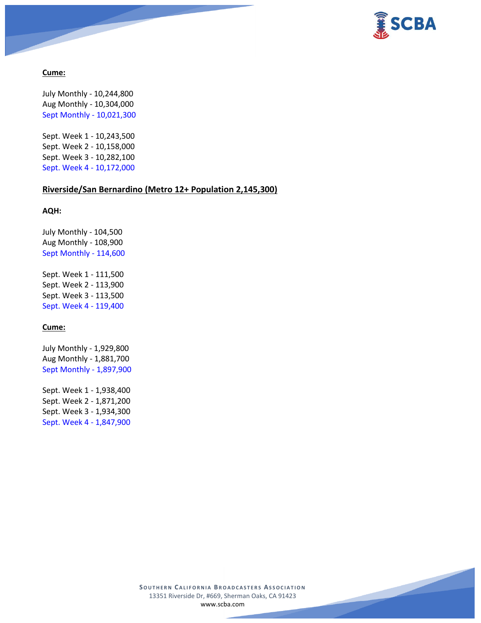



### **Cume:**

July Monthly - 10,244,800 Aug Monthly - 10,304,000 Sept Monthly - 10,021,300

Sept. Week 1 - 10,243,500 Sept. Week 2 - 10,158,000 Sept. Week 3 - 10,282,100 Sept. Week 4 - 10,172,000

#### **Riverside/San Bernardino (Metro 12+ Population 2,145,300)**

**AQH:**

July Monthly - 104,500 Aug Monthly - 108,900 Sept Monthly - 114,600 Sept. Week 1 - 111,500 Sept. Week 2 - 113,900 Sept. Week 3 - 113,500

Sept. Week 4 - 119,400

**Cume:**

July Monthly - 1,929,800 Aug Monthly - 1,881,700 Sept Monthly - 1,897,900

Sept. Week 1 - 1,938,400 Sept. Week 2 - 1,871,200 Sept. Week 3 - 1,934,300 Sept. Week 4 - 1,847,900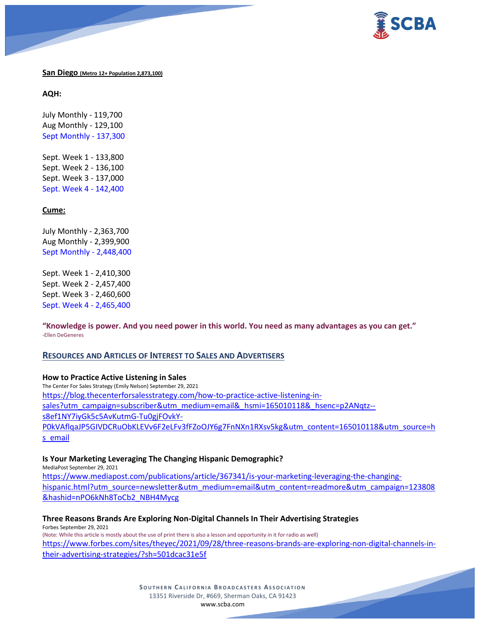



**San Diego (Metro 12+ Population 2,873,100)**

**AQH:**

July Monthly - 119,700 Aug Monthly - 129,100 Sept Monthly - 137,300

Sept. Week 1 - 133,800 Sept. Week 2 - 136,100 Sept. Week 3 - 137,000 Sept. Week 4 - 142,400

## **Cume:**

July Monthly - 2,363,700 Aug Monthly - 2,399,900 Sept Monthly - 2,448,400

Sept. Week 1 - 2,410,300 Sept. Week 2 - 2,457,400 Sept. Week 3 - 2,460,600 Sept. Week 4 - 2,465,400

**"Knowledge is power. And you need power in this world. You need as many advantages as you can get."** -Ellen DeGeneres

## **RESOURCES AND ARTICLES OF INTEREST TO SALES AND ADVERTISERS**

**How to Practice Active Listening in Sales** The Center For Sales Strategy (Emily Nelson) September 29, 2021 [https://blog.thecenterforsalesstrategy.com/how-to-practice-active-listening-in](https://blog.thecenterforsalesstrategy.com/how-to-practice-active-listening-in-sales?utm_campaign=subscriber&utm_medium=email&_hsmi=165010118&_hsenc=p2ANqtz--s8ef1NY7iyGk5c5AvKutmG-Tu0gjFOvkY-P0kVAflqaJP5GIVDCRuObKLEVv6F2eLFv3fFZoOJY6g7FnNXn1RXsv5kg&utm_content=165010118&utm_source=hs_email)[sales?utm\\_campaign=subscriber&utm\\_medium=email&\\_hsmi=165010118&\\_hsenc=p2ANqtz-](https://blog.thecenterforsalesstrategy.com/how-to-practice-active-listening-in-sales?utm_campaign=subscriber&utm_medium=email&_hsmi=165010118&_hsenc=p2ANqtz--s8ef1NY7iyGk5c5AvKutmG-Tu0gjFOvkY-P0kVAflqaJP5GIVDCRuObKLEVv6F2eLFv3fFZoOJY6g7FnNXn1RXsv5kg&utm_content=165010118&utm_source=hs_email) [s8ef1NY7iyGk5c5AvKutmG-Tu0gjFOvkY-](https://blog.thecenterforsalesstrategy.com/how-to-practice-active-listening-in-sales?utm_campaign=subscriber&utm_medium=email&_hsmi=165010118&_hsenc=p2ANqtz--s8ef1NY7iyGk5c5AvKutmG-Tu0gjFOvkY-P0kVAflqaJP5GIVDCRuObKLEVv6F2eLFv3fFZoOJY6g7FnNXn1RXsv5kg&utm_content=165010118&utm_source=hs_email)[P0kVAflqaJP5GIVDCRuObKLEVv6F2eLFv3fFZoOJY6g7FnNXn1RXsv5kg&utm\\_content=165010118&utm\\_source=h](https://blog.thecenterforsalesstrategy.com/how-to-practice-active-listening-in-sales?utm_campaign=subscriber&utm_medium=email&_hsmi=165010118&_hsenc=p2ANqtz--s8ef1NY7iyGk5c5AvKutmG-Tu0gjFOvkY-P0kVAflqaJP5GIVDCRuObKLEVv6F2eLFv3fFZoOJY6g7FnNXn1RXsv5kg&utm_content=165010118&utm_source=hs_email) s email

## **Is Your Marketing Leveraging The Changing Hispanic Demographic?**

MediaPost September 29, 2021 [https://www.mediapost.com/publications/article/367341/is-your-marketing-leveraging-the-changing](https://www.mediapost.com/publications/article/367341/is-your-marketing-leveraging-the-changing-hispanic.html?utm_source=newsletter&utm_medium=email&utm_content=readmore&utm_campaign=123808&hashid=nPO6kNh8ToCb2_NBH4Mycg)[hispanic.html?utm\\_source=newsletter&utm\\_medium=email&utm\\_content=readmore&utm\\_campaign=123808](https://www.mediapost.com/publications/article/367341/is-your-marketing-leveraging-the-changing-hispanic.html?utm_source=newsletter&utm_medium=email&utm_content=readmore&utm_campaign=123808&hashid=nPO6kNh8ToCb2_NBH4Mycg) [&hashid=nPO6kNh8ToCb2\\_NBH4Mycg](https://www.mediapost.com/publications/article/367341/is-your-marketing-leveraging-the-changing-hispanic.html?utm_source=newsletter&utm_medium=email&utm_content=readmore&utm_campaign=123808&hashid=nPO6kNh8ToCb2_NBH4Mycg)

## **Three Reasons Brands Are Exploring Non-Digital Channels In Their Advertising Strategies**

Forbes September 29, 2021 (Note: While this article is mostly about the use of print there is also a lesson and opportunity in it for radio as well) [https://www.forbes.com/sites/theyec/2021/09/28/three-reasons-brands-are-exploring-non-digital-channels-in](https://www.forbes.com/sites/theyec/2021/09/28/three-reasons-brands-are-exploring-non-digital-channels-in-their-advertising-strategies/?sh=501dcac31e5f)[their-advertising-strategies/?sh=501dcac31e5f](https://www.forbes.com/sites/theyec/2021/09/28/three-reasons-brands-are-exploring-non-digital-channels-in-their-advertising-strategies/?sh=501dcac31e5f)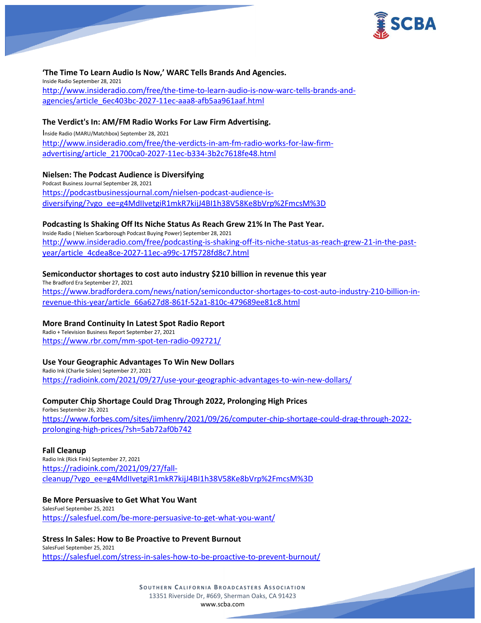

## **'The Time To Learn Audio Is Now,' WARC Tells Brands And Agencies.**

Inside Radio September 28, 2021 [http://www.insideradio.com/free/the-time-to-learn-audio-is-now-warc-tells-brands-and](http://www.insideradio.com/free/the-time-to-learn-audio-is-now-warc-tells-brands-and-agencies/article_6ec403bc-2027-11ec-aaa8-afb5aa961aaf.html)[agencies/article\\_6ec403bc-2027-11ec-aaa8-afb5aa961aaf.html](http://www.insideradio.com/free/the-time-to-learn-audio-is-now-warc-tells-brands-and-agencies/article_6ec403bc-2027-11ec-aaa8-afb5aa961aaf.html)

#### **The Verdict's In: AM/FM Radio Works For Law Firm Advertising.**

Inside Radio (MARU/Matchbox) September 28, 2021 [http://www.insideradio.com/free/the-verdicts-in-am-fm-radio-works-for-law-firm](http://www.insideradio.com/free/the-verdicts-in-am-fm-radio-works-for-law-firm-advertising/article_21700ca0-2027-11ec-b334-3b2c7618fe48.html)[advertising/article\\_21700ca0-2027-11ec-b334-3b2c7618fe48.html](http://www.insideradio.com/free/the-verdicts-in-am-fm-radio-works-for-law-firm-advertising/article_21700ca0-2027-11ec-b334-3b2c7618fe48.html)

#### **Nielsen: The Podcast Audience is Diversifying**

Podcast Business Journal September 28, 2021 [https://podcastbusinessjournal.com/nielsen-podcast-audience-is](https://podcastbusinessjournal.com/nielsen-podcast-audience-is-diversifying/?vgo_ee=g4MdIIvetgiR1mkR7kijJ4BI1h38V58Ke8bVrp%2FmcsM%3D)[diversifying/?vgo\\_ee=g4MdIIvetgiR1mkR7kijJ4BI1h38V58Ke8bVrp%2FmcsM%3D](https://podcastbusinessjournal.com/nielsen-podcast-audience-is-diversifying/?vgo_ee=g4MdIIvetgiR1mkR7kijJ4BI1h38V58Ke8bVrp%2FmcsM%3D)

#### **Podcasting Is Shaking Off Its Niche Status As Reach Grew 21% In The Past Year.**

Inside Radio ( Nielsen Scarborough Podcast Buying Power) September 28, 2021 [http://www.insideradio.com/free/podcasting-is-shaking-off-its-niche-status-as-reach-grew-21-in-the-past](http://www.insideradio.com/free/podcasting-is-shaking-off-its-niche-status-as-reach-grew-21-in-the-past-year/article_4cdea8ce-2027-11ec-a99c-17f5728fd8c7.html)[year/article\\_4cdea8ce-2027-11ec-a99c-17f5728fd8c7.html](http://www.insideradio.com/free/podcasting-is-shaking-off-its-niche-status-as-reach-grew-21-in-the-past-year/article_4cdea8ce-2027-11ec-a99c-17f5728fd8c7.html)

#### **Semiconductor shortages to cost auto industry \$210 billion in revenue this year**

The Bradford Era September 27, 2021 [https://www.bradfordera.com/news/nation/semiconductor-shortages-to-cost-auto-industry-210-billion-in](https://www.bradfordera.com/news/nation/semiconductor-shortages-to-cost-auto-industry-210-billion-in-revenue-this-year/article_66a627d8-861f-52a1-810c-479689ee81c8.html)[revenue-this-year/article\\_66a627d8-861f-52a1-810c-479689ee81c8.html](https://www.bradfordera.com/news/nation/semiconductor-shortages-to-cost-auto-industry-210-billion-in-revenue-this-year/article_66a627d8-861f-52a1-810c-479689ee81c8.html)

#### **More Brand Continuity In Latest Spot Radio Report**

Radio + Television Business Report September 27, 2021 <https://www.rbr.com/mm-spot-ten-radio-092721/>

#### **Use Your Geographic Advantages To Win New Dollars**

Radio Ink (Charlie Sislen) September 27, 2021 <https://radioink.com/2021/09/27/use-your-geographic-advantages-to-win-new-dollars/>

### **Computer Chip Shortage Could Drag Through 2022, Prolonging High Prices**

Forbes September 26, 2021 [https://www.forbes.com/sites/jimhenry/2021/09/26/computer-chip-shortage-could-drag-through-2022](https://www.forbes.com/sites/jimhenry/2021/09/26/computer-chip-shortage-could-drag-through-2022-prolonging-high-prices/?sh=5ab72af0b742) [prolonging-high-prices/?sh=5ab72af0b742](https://www.forbes.com/sites/jimhenry/2021/09/26/computer-chip-shortage-could-drag-through-2022-prolonging-high-prices/?sh=5ab72af0b742)

#### **Fall Cleanup**

Radio Ink (Rick Fink) September 27, 2021 [https://radioink.com/2021/09/27/fall](https://radioink.com/2021/09/27/fall-cleanup/?vgo_ee=g4MdIIvetgiR1mkR7kijJ4BI1h38V58Ke8bVrp%2FmcsM%3D)[cleanup/?vgo\\_ee=g4MdIIvetgiR1mkR7kijJ4BI1h38V58Ke8bVrp%2FmcsM%3D](https://radioink.com/2021/09/27/fall-cleanup/?vgo_ee=g4MdIIvetgiR1mkR7kijJ4BI1h38V58Ke8bVrp%2FmcsM%3D)

#### **Be More Persuasive to Get What You Want**

SalesFuel September 25, 2021 <https://salesfuel.com/be-more-persuasive-to-get-what-you-want/>

#### **Stress In Sales: How to Be Proactive to Prevent Burnout** SalesFuel September 25, 2021

<https://salesfuel.com/stress-in-sales-how-to-be-proactive-to-prevent-burnout/>

**SOUTHERN CALIFORNIA BROADCASTERS ASSOCIATION** 13351 Riverside Dr, #669, Sherman Oaks, CA 91423 [www.scba.com](http://www.scba.com/)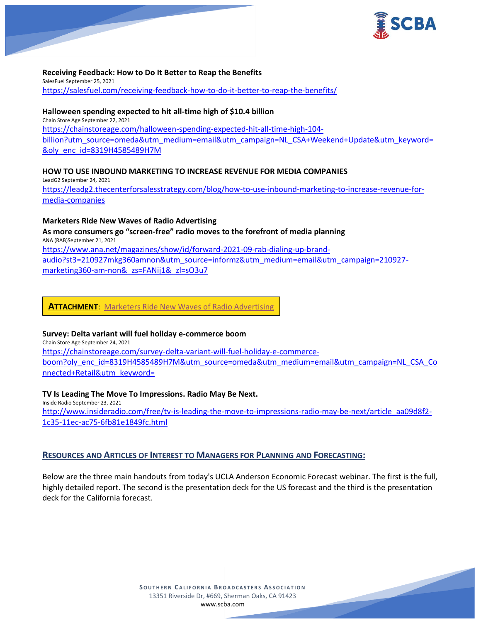

## **Receiving Feedback: How to Do It Better to Reap the Benefits**

SalesFuel September 25, 2021 <https://salesfuel.com/receiving-feedback-how-to-do-it-better-to-reap-the-benefits/>

### **Halloween spending expected to hit all-time high of \$10.4 billion**

Chain Store Age September 22, 2021 [https://chainstoreage.com/halloween-spending-expected-hit-all-time-high-104](https://chainstoreage.com/halloween-spending-expected-hit-all-time-high-104-billion?utm_source=omeda&utm_medium=email&utm_campaign=NL_CSA+Weekend+Update&utm_keyword=&oly_enc_id=8319H4585489H7M) [billion?utm\\_source=omeda&utm\\_medium=email&utm\\_campaign=NL\\_CSA+Weekend+Update&utm\\_keyword=](https://chainstoreage.com/halloween-spending-expected-hit-all-time-high-104-billion?utm_source=omeda&utm_medium=email&utm_campaign=NL_CSA+Weekend+Update&utm_keyword=&oly_enc_id=8319H4585489H7M) [&oly\\_enc\\_id=8319H4585489H7M](https://chainstoreage.com/halloween-spending-expected-hit-all-time-high-104-billion?utm_source=omeda&utm_medium=email&utm_campaign=NL_CSA+Weekend+Update&utm_keyword=&oly_enc_id=8319H4585489H7M)

## **HOW TO USE INBOUND MARKETING TO INCREASE REVENUE FOR MEDIA COMPANIES**

LeadG2 September 24, 2021 [https://leadg2.thecenterforsalesstrategy.com/blog/how-to-use-inbound-marketing-to-increase-revenue-for](https://leadg2.thecenterforsalesstrategy.com/blog/how-to-use-inbound-marketing-to-increase-revenue-for-media-companies)[media-companies](https://leadg2.thecenterforsalesstrategy.com/blog/how-to-use-inbound-marketing-to-increase-revenue-for-media-companies)

#### **Marketers Ride New Waves of Radio Advertising**

**As more consumers go "screen-free" radio moves to the forefront of media planning** ANA (RAB)September 21, 2021 [https://www.ana.net/magazines/show/id/forward-2021-09-rab-dialing-up-brand](https://www.ana.net/magazines/show/id/forward-2021-09-rab-dialing-up-brand-audio?st3=210927mkg360amnon&utm_source=informz&utm_medium=email&utm_campaign=210927-marketing360-am-non&_zs=FANij1&_zl=sO3u7)[audio?st3=210927mkg360amnon&utm\\_source=informz&utm\\_medium=email&utm\\_campaign=210927](https://www.ana.net/magazines/show/id/forward-2021-09-rab-dialing-up-brand-audio?st3=210927mkg360amnon&utm_source=informz&utm_medium=email&utm_campaign=210927-marketing360-am-non&_zs=FANij1&_zl=sO3u7) marketing360-am-non& zs=FANij1& zl=sO3u7

## **ATTACHMENT**: [Marketers Ride New Waves of Radio Advertising](https://scba.com/wp-content/uploads/2021/09/Marketers-Ride-New-Waves.pdf)

## **Survey: Delta variant will fuel holiday e-commerce boom**

Chain Store Age September 24, 2021 [https://chainstoreage.com/survey-delta-variant-will-fuel-holiday-e-commerce](https://chainstoreage.com/survey-delta-variant-will-fuel-holiday-e-commerce-boom?oly_enc_id=8319H4585489H7M&utm_source=omeda&utm_medium=email&utm_campaign=NL_CSA_Connected+Retail&utm_keyword=)[boom?oly\\_enc\\_id=8319H4585489H7M&utm\\_source=omeda&utm\\_medium=email&utm\\_campaign=NL\\_CSA\\_Co](https://chainstoreage.com/survey-delta-variant-will-fuel-holiday-e-commerce-boom?oly_enc_id=8319H4585489H7M&utm_source=omeda&utm_medium=email&utm_campaign=NL_CSA_Connected+Retail&utm_keyword=) [nnected+Retail&utm\\_keyword=](https://chainstoreage.com/survey-delta-variant-will-fuel-holiday-e-commerce-boom?oly_enc_id=8319H4585489H7M&utm_source=omeda&utm_medium=email&utm_campaign=NL_CSA_Connected+Retail&utm_keyword=)

## **TV Is Leading The Move To Impressions. Radio May Be Next.**

Inside Radio September 23, 2021 [http://www.insideradio.com/free/tv-is-leading-the-move-to-impressions-radio-may-be-next/article\\_aa09d8f2-](http://www.insideradio.com/free/tv-is-leading-the-move-to-impressions-radio-may-be-next/article_aa09d8f2-1c35-11ec-ac75-6fb81e1849fc.html) [1c35-11ec-ac75-6fb81e1849fc.html](http://www.insideradio.com/free/tv-is-leading-the-move-to-impressions-radio-may-be-next/article_aa09d8f2-1c35-11ec-ac75-6fb81e1849fc.html)

## **RESOURCES AND ARTICLES OF INTEREST TO MANAGERS FOR PLANNING AND FORECASTING:**

Below are the three main handouts from today's UCLA Anderson Economic Forecast webinar. The first is the full, highly detailed report. The second is the presentation deck for the US forecast and the third is the presentation deck for the California forecast.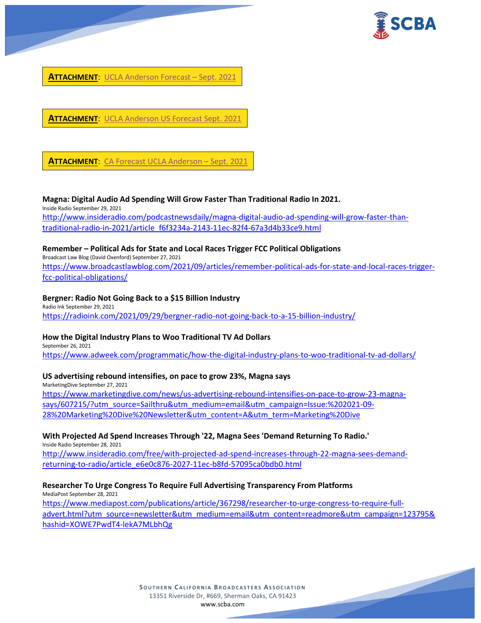



**ATTACHMENT**: [UCLA Anderson US Forecast Sept. 2021](https://scba.com/wp-content/uploads/2021/09/UCLA-Anderson-US-Forecast-Sept2021.pdf)

**ATTACHMENT**: CA Forecast [UCLA Anderson](https://scba.com/wp-content/uploads/2021/09/CA-Frcst-UCLA-Anderson-Sept-2021.pdf) – Sept. 2021

#### **Magna: Digital Audio Ad Spending Will Grow Faster Than Traditional Radio In 2021.**

Inside Radio September 29, 2021 [http://www.insideradio.com/podcastnewsdaily/magna-digital-audio-ad-spending-will-grow-faster-than](http://www.insideradio.com/podcastnewsdaily/magna-digital-audio-ad-spending-will-grow-faster-than-traditional-radio-in-2021/article_f6f3234a-2143-11ec-82f4-67a3d4b33ce9.html)[traditional-radio-in-2021/article\\_f6f3234a-2143-11ec-82f4-67a3d4b33ce9.html](http://www.insideradio.com/podcastnewsdaily/magna-digital-audio-ad-spending-will-grow-faster-than-traditional-radio-in-2021/article_f6f3234a-2143-11ec-82f4-67a3d4b33ce9.html)

#### **Remember – Political Ads for State and Local Races Trigger FCC Political Obligations**

Broadcast Law Blog (David Oxenford) September 27, 2021 [https://www.broadcastlawblog.com/2021/09/articles/remember-political-ads-for-state-and-local-races-trigger](https://www.broadcastlawblog.com/2021/09/articles/remember-political-ads-for-state-and-local-races-trigger-fcc-political-obligations/)[fcc-political-obligations/](https://www.broadcastlawblog.com/2021/09/articles/remember-political-ads-for-state-and-local-races-trigger-fcc-political-obligations/)

#### **Bergner: Radio Not Going Back to a \$15 Billion Industry**

Radio Ink September 29, 2021 <https://radioink.com/2021/09/29/bergner-radio-not-going-back-to-a-15-billion-industry/>

## **How the Digital Industry Plans to Woo Traditional TV Ad Dollars**

September 26, 2021 <https://www.adweek.com/programmatic/how-the-digital-industry-plans-to-woo-traditional-tv-ad-dollars/>

## **US advertising rebound intensifies, on pace to grow 23%, Magna says**

MarketingDive September 27, 2021 [https://www.marketingdive.com/news/us-advertising-rebound-intensifies-on-pace-to-grow-23-magna](https://www.marketingdive.com/news/us-advertising-rebound-intensifies-on-pace-to-grow-23-magna-says/607215/?utm_source=Sailthru&utm_medium=email&utm_campaign=Issue:%202021-09-28%20Marketing%20Dive%20Newsletter&utm_content=A&utm_term=Marketing%20Dive)[says/607215/?utm\\_source=Sailthru&utm\\_medium=email&utm\\_campaign=Issue:%202021-09-](https://www.marketingdive.com/news/us-advertising-rebound-intensifies-on-pace-to-grow-23-magna-says/607215/?utm_source=Sailthru&utm_medium=email&utm_campaign=Issue:%202021-09-28%20Marketing%20Dive%20Newsletter&utm_content=A&utm_term=Marketing%20Dive) [28%20Marketing%20Dive%20Newsletter&utm\\_content=A&utm\\_term=Marketing%20Dive](https://www.marketingdive.com/news/us-advertising-rebound-intensifies-on-pace-to-grow-23-magna-says/607215/?utm_source=Sailthru&utm_medium=email&utm_campaign=Issue:%202021-09-28%20Marketing%20Dive%20Newsletter&utm_content=A&utm_term=Marketing%20Dive)

## **With Projected Ad Spend Increases Through '22, Magna Sees 'Demand Returning To Radio.'**

Inside Radio September 28, 2021

[http://www.insideradio.com/free/with-projected-ad-spend-increases-through-22-magna-sees-demand](http://www.insideradio.com/free/with-projected-ad-spend-increases-through-22-magna-sees-demand-returning-to-radio/article_e6e0c876-2027-11ec-b8fd-57095ca0bdb0.html)[returning-to-radio/article\\_e6e0c876-2027-11ec-b8fd-57095ca0bdb0.html](http://www.insideradio.com/free/with-projected-ad-spend-increases-through-22-magna-sees-demand-returning-to-radio/article_e6e0c876-2027-11ec-b8fd-57095ca0bdb0.html)

#### **Researcher To Urge Congress To Require Full Advertising Transparency From Platforms**

MediaPost September 28, 2021

[https://www.mediapost.com/publications/article/367298/researcher-to-urge-congress-to-require-full](https://www.mediapost.com/publications/article/367298/researcher-to-urge-congress-to-require-full-advert.html?utm_source=newsletter&utm_medium=email&utm_content=readmore&utm_campaign=123795&hashid=XOWE7PwdT4-lekA7MLbhQg)[advert.html?utm\\_source=newsletter&utm\\_medium=email&utm\\_content=readmore&utm\\_campaign=123795&](https://www.mediapost.com/publications/article/367298/researcher-to-urge-congress-to-require-full-advert.html?utm_source=newsletter&utm_medium=email&utm_content=readmore&utm_campaign=123795&hashid=XOWE7PwdT4-lekA7MLbhQg) [hashid=XOWE7PwdT4-lekA7MLbhQg](https://www.mediapost.com/publications/article/367298/researcher-to-urge-congress-to-require-full-advert.html?utm_source=newsletter&utm_medium=email&utm_content=readmore&utm_campaign=123795&hashid=XOWE7PwdT4-lekA7MLbhQg)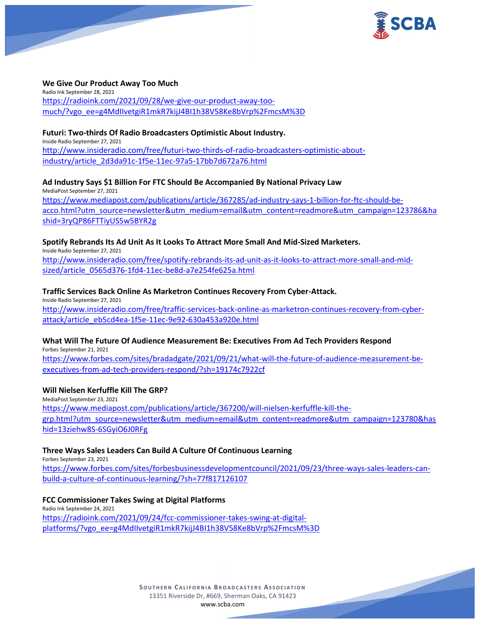



#### **We Give Our Product Away Too Much**

Radio Ink September 28, 2021 [https://radioink.com/2021/09/28/we-give-our-product-away-too](https://radioink.com/2021/09/28/we-give-our-product-away-too-much/?vgo_ee=g4MdIIvetgiR1mkR7kijJ4BI1h38V58Ke8bVrp%2FmcsM%3D)[much/?vgo\\_ee=g4MdIIvetgiR1mkR7kijJ4BI1h38V58Ke8bVrp%2FmcsM%3D](https://radioink.com/2021/09/28/we-give-our-product-away-too-much/?vgo_ee=g4MdIIvetgiR1mkR7kijJ4BI1h38V58Ke8bVrp%2FmcsM%3D)

#### **Futuri: Two-thirds Of Radio Broadcasters Optimistic About Industry.**

Inside Radio September 27, 2021 [http://www.insideradio.com/free/futuri-two-thirds-of-radio-broadcasters-optimistic-about](http://www.insideradio.com/free/futuri-two-thirds-of-radio-broadcasters-optimistic-about-industry/article_2d3da91c-1f5e-11ec-97a5-17bb7d672a76.html)[industry/article\\_2d3da91c-1f5e-11ec-97a5-17bb7d672a76.html](http://www.insideradio.com/free/futuri-two-thirds-of-radio-broadcasters-optimistic-about-industry/article_2d3da91c-1f5e-11ec-97a5-17bb7d672a76.html)

## **Ad Industry Says \$1 Billion For FTC Should Be Accompanied By National Privacy Law**

MediaPost September 27, 2021 [https://www.mediapost.com/publications/article/367285/ad-industry-says-1-billion-for-ftc-should-be](https://www.mediapost.com/publications/article/367285/ad-industry-says-1-billion-for-ftc-should-be-acco.html?utm_source=newsletter&utm_medium=email&utm_content=readmore&utm_campaign=123786&hashid=3ryQP86FTTiyUS5w5BYR2g)[acco.html?utm\\_source=newsletter&utm\\_medium=email&utm\\_content=readmore&utm\\_campaign=123786&ha](https://www.mediapost.com/publications/article/367285/ad-industry-says-1-billion-for-ftc-should-be-acco.html?utm_source=newsletter&utm_medium=email&utm_content=readmore&utm_campaign=123786&hashid=3ryQP86FTTiyUS5w5BYR2g) [shid=3ryQP86FTTiyUS5w5BYR2g](https://www.mediapost.com/publications/article/367285/ad-industry-says-1-billion-for-ftc-should-be-acco.html?utm_source=newsletter&utm_medium=email&utm_content=readmore&utm_campaign=123786&hashid=3ryQP86FTTiyUS5w5BYR2g)

#### **Spotify Rebrands Its Ad Unit As It Looks To Attract More Small And Mid-Sized Marketers.**

Inside Radio September 27, 2021 [http://www.insideradio.com/free/spotify-rebrands-its-ad-unit-as-it-looks-to-attract-more-small-and-mid](http://www.insideradio.com/free/spotify-rebrands-its-ad-unit-as-it-looks-to-attract-more-small-and-mid-sized/article_0565d376-1fd4-11ec-be8d-a7e254fe625a.html)[sized/article\\_0565d376-1fd4-11ec-be8d-a7e254fe625a.html](http://www.insideradio.com/free/spotify-rebrands-its-ad-unit-as-it-looks-to-attract-more-small-and-mid-sized/article_0565d376-1fd4-11ec-be8d-a7e254fe625a.html)

#### **Traffic Services Back Online As Marketron Continues Recovery From Cyber-Attack.**

Inside Radio September 27, 2021 [http://www.insideradio.com/free/traffic-services-back-online-as-marketron-continues-recovery-from-cyber](http://www.insideradio.com/free/traffic-services-back-online-as-marketron-continues-recovery-from-cyber-attack/article_eb5cd4ea-1f5e-11ec-9e92-630a453a920e.html)[attack/article\\_eb5cd4ea-1f5e-11ec-9e92-630a453a920e.html](http://www.insideradio.com/free/traffic-services-back-online-as-marketron-continues-recovery-from-cyber-attack/article_eb5cd4ea-1f5e-11ec-9e92-630a453a920e.html)

## **What Will The Future Of Audience Measurement Be: Executives From Ad Tech Providers Respond**

Forbes September 21, 2021 [https://www.forbes.com/sites/bradadgate/2021/09/21/what-will-the-future-of-audience-measurement-be](https://www.forbes.com/sites/bradadgate/2021/09/21/what-will-the-future-of-audience-measurement-be-executives-from-ad-tech-providers-respond/?sh=19174c7922cf)[executives-from-ad-tech-providers-respond/?sh=19174c7922cf](https://www.forbes.com/sites/bradadgate/2021/09/21/what-will-the-future-of-audience-measurement-be-executives-from-ad-tech-providers-respond/?sh=19174c7922cf)

## **Will Nielsen Kerfuffle Kill The GRP?**

MediaPost September 23, 2021 [https://www.mediapost.com/publications/article/367200/will-nielsen-kerfuffle-kill-the](https://www.mediapost.com/publications/article/367200/will-nielsen-kerfuffle-kill-the-grp.html?utm_source=newsletter&utm_medium=email&utm_content=readmore&utm_campaign=123780&hashid=13ziehw8S-6SGyiO6J0RFg)[grp.html?utm\\_source=newsletter&utm\\_medium=email&utm\\_content=readmore&utm\\_campaign=123780&has](https://www.mediapost.com/publications/article/367200/will-nielsen-kerfuffle-kill-the-grp.html?utm_source=newsletter&utm_medium=email&utm_content=readmore&utm_campaign=123780&hashid=13ziehw8S-6SGyiO6J0RFg) [hid=13ziehw8S-6SGyiO6J0RFg](https://www.mediapost.com/publications/article/367200/will-nielsen-kerfuffle-kill-the-grp.html?utm_source=newsletter&utm_medium=email&utm_content=readmore&utm_campaign=123780&hashid=13ziehw8S-6SGyiO6J0RFg)

## **Three Ways Sales Leaders Can Build A Culture Of Continuous Learning**

Forbes September 23, 2021 [https://www.forbes.com/sites/forbesbusinessdevelopmentcouncil/2021/09/23/three-ways-sales-leaders-can](https://www.forbes.com/sites/forbesbusinessdevelopmentcouncil/2021/09/23/three-ways-sales-leaders-can-build-a-culture-of-continuous-learning/?sh=77f817126107)[build-a-culture-of-continuous-learning/?sh=77f817126107](https://www.forbes.com/sites/forbesbusinessdevelopmentcouncil/2021/09/23/three-ways-sales-leaders-can-build-a-culture-of-continuous-learning/?sh=77f817126107)

#### **FCC Commissioner Takes Swing at Digital Platforms**

Radio Ink September 24, 2021 [https://radioink.com/2021/09/24/fcc-commissioner-takes-swing-at-digital](https://radioink.com/2021/09/24/fcc-commissioner-takes-swing-at-digital-platforms/?vgo_ee=g4MdIIvetgiR1mkR7kijJ4BI1h38V58Ke8bVrp%2FmcsM%3D)[platforms/?vgo\\_ee=g4MdIIvetgiR1mkR7kijJ4BI1h38V58Ke8bVrp%2FmcsM%3D](https://radioink.com/2021/09/24/fcc-commissioner-takes-swing-at-digital-platforms/?vgo_ee=g4MdIIvetgiR1mkR7kijJ4BI1h38V58Ke8bVrp%2FmcsM%3D)

> **SOUTHERN CALIFORNIA BROADCASTERS ASSOCIATION** 13351 Riverside Dr, #669, Sherman Oaks, CA 91423 [www.scba.com](http://www.scba.com/)